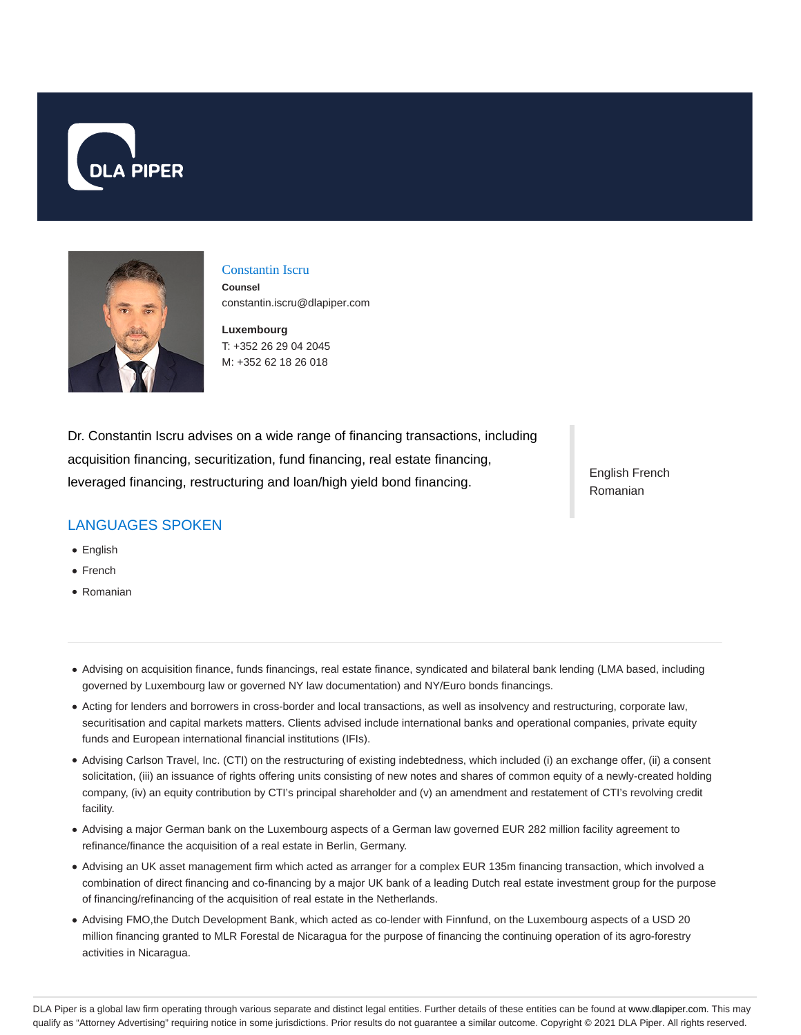



## Constantin Iscru

**Counsel** constantin.iscru@dlapiper.com

**Luxembourg** T: +352 26 29 04 2045 M: +352 62 18 26 018

Dr. Constantin Iscru advises on a wide range of financing transactions, including acquisition financing, securitization, fund financing, real estate financing, leveraged financing, restructuring and loan/high yield bond financing.

# LANGUAGES SPOKEN

- English
- French
- Romanian

English French Romanian

- Advising on acquisition finance, funds financings, real estate finance, syndicated and bilateral bank lending (LMA based, including governed by Luxembourg law or governed NY law documentation) and NY/Euro bonds financings.
- Acting for lenders and borrowers in cross-border and local transactions, as well as insolvency and restructuring, corporate law, securitisation and capital markets matters. Clients advised include international banks and operational companies, private equity funds and European international financial institutions (IFIs).
- Advising Carlson Travel, Inc. (CTI) on the restructuring of existing indebtedness, which included (i) an exchange offer, (ii) a consent solicitation, (iii) an issuance of rights offering units consisting of new notes and shares of common equity of a newly-created holding company, (iv) an equity contribution by CTI's principal shareholder and (v) an amendment and restatement of CTI's revolving credit facility.
- Advising a major German bank on the Luxembourg aspects of a German law governed EUR 282 million facility agreement to refinance/finance the acquisition of a real estate in Berlin, Germany.
- Advising an UK asset management firm which acted as arranger for a complex EUR 135m financing transaction, which involved a combination of direct financing and co-financing by a major UK bank of a leading Dutch real estate investment group for the purpose of financing/refinancing of the acquisition of real estate in the Netherlands.
- Advising FMO,the Dutch Development Bank, which acted as co-lender with Finnfund, on the Luxembourg aspects of a USD 20 million financing granted to MLR Forestal de Nicaragua for the purpose of financing the continuing operation of its agro-forestry activities in Nicaragua.

DLA Piper is a global law firm operating through various separate and distinct legal entities. Further details of these entities can be found at www.dlapiper.com. This may qualify as "Attorney Advertising" requiring notice in some jurisdictions. Prior results do not guarantee a similar outcome. Copyright @ 2021 DLA Piper. All rights reserved.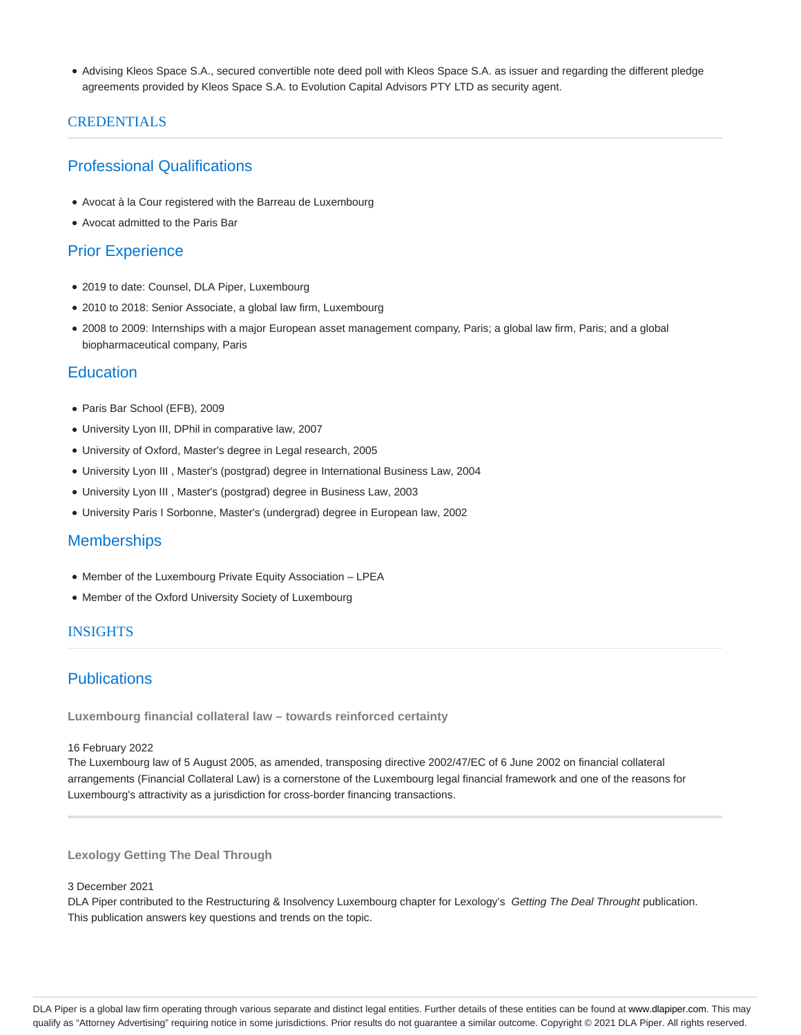Advising Kleos Space S.A., secured convertible note deed poll with Kleos Space S.A. as issuer and regarding the different pledge agreements provided by Kleos Space S.A. to Evolution Capital Advisors PTY LTD as security agent.

### CREDENTIALS

## Professional Qualifications

- Avocat à la Cour registered with the Barreau de Luxembourg
- Avocat admitted to the Paris Bar

## Prior Experience

- 2019 to date: Counsel, DLA Piper, Luxembourg
- 2010 to 2018: Senior Associate, a global law firm, Luxembourg
- 2008 to 2009: Internships with a major European asset management company, Paris; a global law firm, Paris; and a global biopharmaceutical company, Paris

### **Education**

- Paris Bar School (EFB), 2009
- University Lyon III, DPhil in comparative law, 2007
- University of Oxford, Master's degree in Legal research, 2005
- University Lyon III , Master's (postgrad) degree in International Business Law, 2004
- University Lyon III , Master's (postgrad) degree in Business Law, 2003
- University Paris I Sorbonne, Master's (undergrad) degree in European law, 2002

### **Memberships**

- Member of the Luxembourg Private Equity Association LPEA
- Member of the Oxford University Society of Luxembourg

### INSIGHTS

## **Publications**

**Luxembourg financial collateral law – towards reinforced certainty**

#### 16 February 2022

The Luxembourg law of 5 August 2005, as amended, transposing directive 2002/47/EC of 6 June 2002 on financial collateral arrangements (Financial Collateral Law) is a cornerstone of the Luxembourg legal financial framework and one of the reasons for Luxembourg's attractivity as a jurisdiction for cross-border financing transactions.

**Lexology Getting The Deal Through**

#### 3 December 2021

DLA Piper contributed to the Restructuring & Insolvency Luxembourg chapter for Lexology's Getting The Deal Throught publication. This publication answers key questions and trends on the topic.